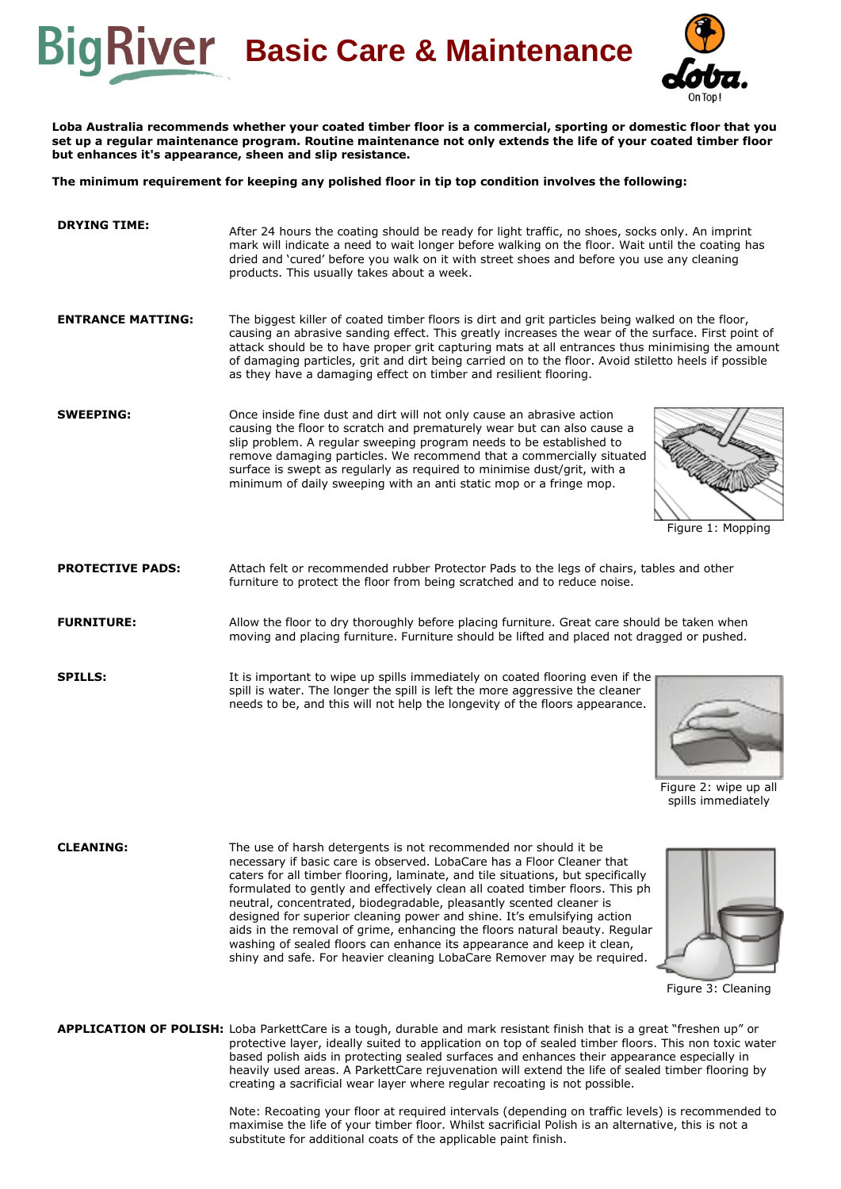



**Loba Australia recommends whether your coated timber floor is a commercial, sporting or domestic floor that you set up a regular maintenance program. Routine maintenance not only extends the life of your coated timber floor but enhances it's appearance, sheen and slip resistance.**

**The minimum requirement for keeping any polished floor in tip top condition involves the following:**

| <b>DRYING TIME:</b>      | After 24 hours the coating should be ready for light traffic, no shoes, socks only. An imprint<br>mark will indicate a need to wait longer before walking on the floor. Wait until the coating has<br>dried and 'cured' before you walk on it with street shoes and before you use any cleaning<br>products. This usually takes about a week.                                                                                                                                         |
|--------------------------|---------------------------------------------------------------------------------------------------------------------------------------------------------------------------------------------------------------------------------------------------------------------------------------------------------------------------------------------------------------------------------------------------------------------------------------------------------------------------------------|
| <b>ENTRANCE MATTING:</b> | The biggest killer of coated timber floors is dirt and grit particles being walked on the floor,<br>causing an abrasive sanding effect. This greatly increases the wear of the surface. First point of<br>attack should be to have proper grit capturing mats at all entrances thus minimising the amount<br>of damaging particles, grit and dirt being carried on to the floor. Avoid stiletto heels if possible<br>as they have a damaging effect on timber and resilient flooring. |
| <b>SWEEPING:</b>         | Once inside fine dust and dirt will not only cause an abrasive action<br>causing the floor to scratch and prematurely wear but can also cause a<br>slip problem. A regular sweeping program needs to be established to<br>remove damaging particles. We recommend that a commercially situated<br>surface is swept as regularly as required to minimise dust/grit, with a<br>minimum of daily sweeping with an anti static mop or a fringe mop.                                       |

Figure 1: Mopping

**PROTECTIVE PADS:** Attach felt or recommended rubber Protector Pads to the legs of chairs, tables and other furniture to protect the floor from being scratched and to reduce noise.

**FURNITURE:** Allow the floor to dry thoroughly before placing furniture. Great care should be taken when moving and placing furniture. Furniture should be lifted and placed not dragged or pushed.

**SPILLS:** It is important to wipe up spills immediately on coated flooring even if the spill is water. The longer the spill is left the more aggressive the cleaner needs to be, and this will not help the longevity of the floors appearance.



Figure 2: wipe up all spills immediately

**CLEANING:** The use of harsh detergents is not recommended nor should it be necessary if basic care is observed. LobaCare has a Floor Cleaner that caters for all timber flooring, laminate, and tile situations, but specifically formulated to gently and effectively clean all coated timber floors. This ph neutral, concentrated, biodegradable, pleasantly scented cleaner is designed for superior cleaning power and shine. It's emulsifying action aids in the removal of grime, enhancing the floors natural beauty. Regular washing of sealed floors can enhance its appearance and keep it clean, shiny and safe. For heavier cleaning LobaCare Remover may be required.



Figure 3: Cleaning

**APPLICATION OF POLISH:** Loba ParkettCare is a tough, durable and mark resistant finish that is a great "freshen up" or protective layer, ideally suited to application on top of sealed timber floors. This non toxic water based polish aids in protecting sealed surfaces and enhances their appearance especially in heavily used areas. A ParkettCare rejuvenation will extend the life of sealed timber flooring by creating a sacrificial wear layer where regular recoating is not possible.

> Note: Recoating your floor at required intervals (depending on traffic levels) is recommended to maximise the life of your timber floor. Whilst sacrificial Polish is an alternative, this is not a substitute for additional coats of the applicable paint finish.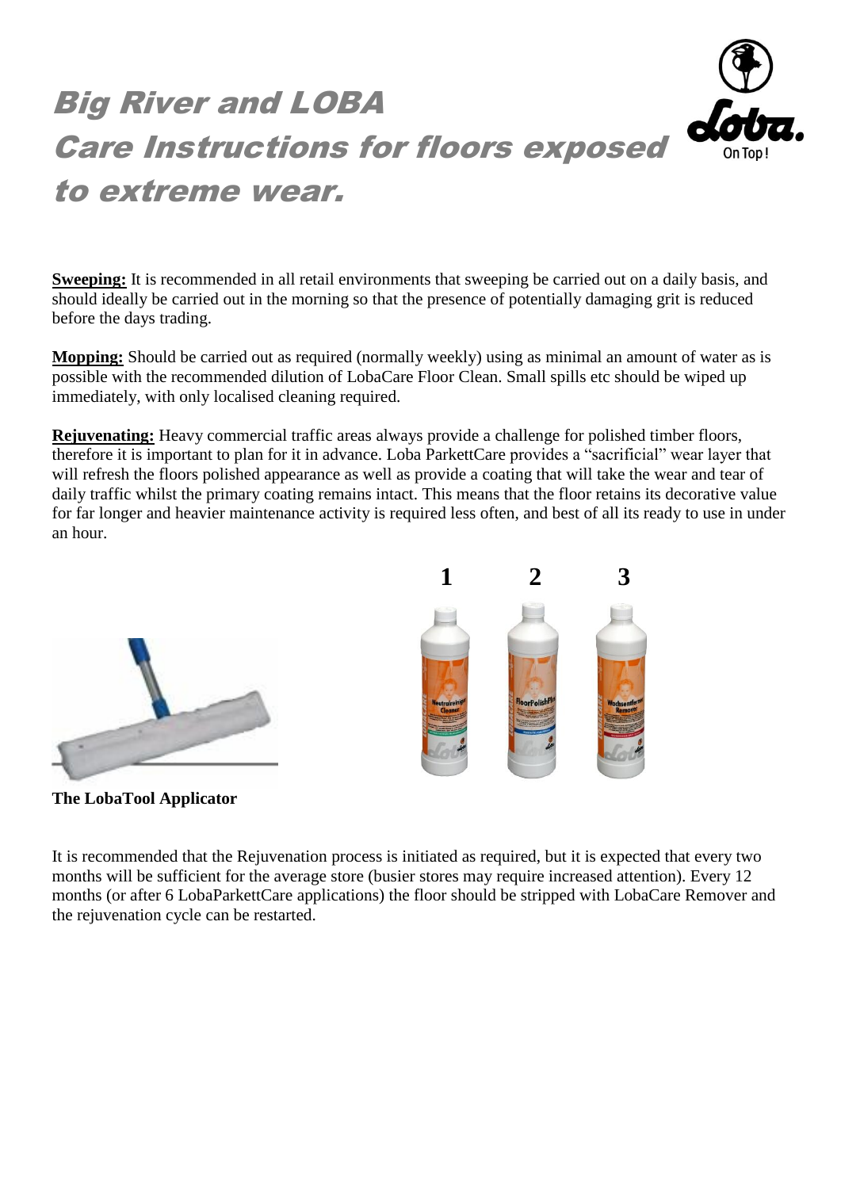

**Sweeping:** It is recommended in all retail environments that sweeping be carried out on a daily basis, and should ideally be carried out in the morning so that the presence of potentially damaging grit is reduced before the days trading.

**Mopping:** Should be carried out as required (normally weekly) using as minimal an amount of water as is possible with the recommended dilution of LobaCare Floor Clean. Small spills etc should be wiped up immediately, with only localised cleaning required.

**Rejuvenating:** Heavy commercial traffic areas always provide a challenge for polished timber floors, therefore it is important to plan for it in advance. Loba ParkettCare provides a "sacrificial" wear layer that will refresh the floors polished appearance as well as provide a coating that will take the wear and tear of daily traffic whilst the primary coating remains intact. This means that the floor retains its decorative value for far longer and heavier maintenance activity is required less often, and best of all its ready to use in under an hour.

 **1 2 3**



**The LobaTool Applicator**

It is recommended that the Rejuvenation process is initiated as required, but it is expected that every two months will be sufficient for the average store (busier stores may require increased attention). Every 12 months (or after 6 LobaParkettCare applications) the floor should be stripped with LobaCare Remover and the rejuvenation cycle can be restarted.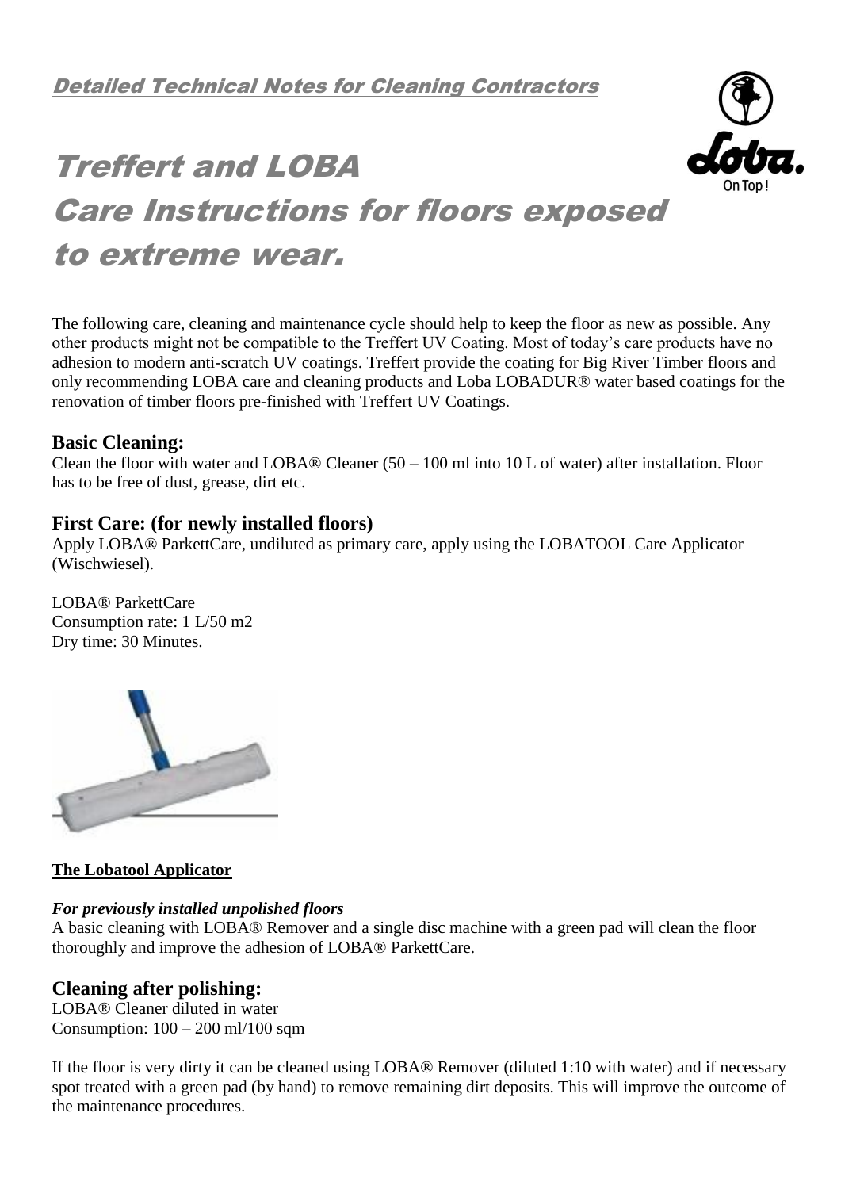

# Treffert and LOBA Care Instructions for floors exposed to extreme wear.

The following care, cleaning and maintenance cycle should help to keep the floor as new as possible. Any other products might not be compatible to the Treffert UV Coating. Most of today's care products have no adhesion to modern anti-scratch UV coatings. Treffert provide the coating for Big River Timber floors and only recommending LOBA care and cleaning products and Loba LOBADUR® water based coatings for the renovation of timber floors pre-finished with Treffert UV Coatings.

## **Basic Cleaning:**

Clean the floor with water and LOBA® Cleaner  $(50 - 100$  ml into 10 L of water) after installation. Floor has to be free of dust, grease, dirt etc.

## **First Care: (for newly installed floors)**

Apply LOBA® ParkettCare, undiluted as primary care, apply using the LOBATOOL Care Applicator (Wischwiesel).

LOBA® ParkettCare Consumption rate: 1 L/50 m2 Dry time: 30 Minutes.



## **The Lobatool Applicator**

#### *For previously installed unpolished floors*

A basic cleaning with LOBA® Remover and a single disc machine with a green pad will clean the floor thoroughly and improve the adhesion of LOBA® ParkettCare.

## **Cleaning after polishing:**

LOBA® Cleaner diluted in water Consumption: 100 – 200 ml/100 sqm

If the floor is very dirty it can be cleaned using LOBA® Remover (diluted 1:10 with water) and if necessary spot treated with a green pad (by hand) to remove remaining dirt deposits. This will improve the outcome of the maintenance procedures.